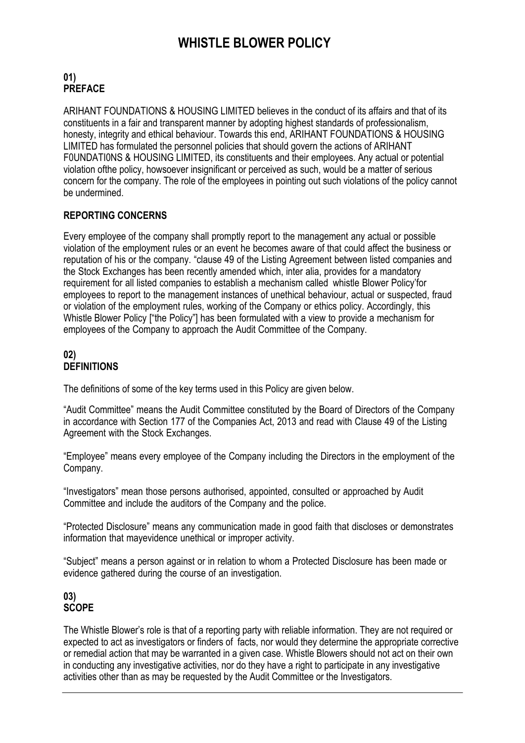# **WHISTLE BLOWER POLICY**

## **01) PREFACE**

ARIHANT FOUNDATIONS & HOUSING LIMITED believes in the conduct of its affairs and that of its constituents in a fair and transparent manner by adopting highest standards of professionalism, honesty, integrity and ethical behaviour. Towards this end, ARIHANT FOUNDATIONS & HOUSING LIMITED has formulated the personnel policies that should govern the actions of ARIHANT F0UNDATI0NS & HOUSING LIMITED, its constituents and their employees. Any actual or potential violation ofthe policy, howsoever insignificant or perceived as such, would be a matter of serious concern for the company. The role of the employees in pointing out such violations of the policy cannot be undermined.

## **REPORTING CONCERNS**

Every employee of the company shall promptly report to the management any actual or possible violation of the employment rules or an event he becomes aware of that could affect the business or reputation of his or the company. "clause 49 of the Listing Agreement between listed companies and the Stock Exchanges has been recently amended which, inter alia, provides for a mandatory requirement for all listed companies to establish a mechanism called whistle Blower Policy'for employees to report to the management instances of unethical behaviour, actual or suspected, fraud or violation of the employment rules, working of the Company or ethics policy. Accordingly, this Whistle Blower Policy ["the Policy"] has been formulated with a view to provide a mechanism for employees of the Company to approach the Audit Committee of the Company.

#### **02) DEFINITIONS**

The definitions of some of the key terms used in this Policy are given below.

"Audit Committee" means the Audit Committee constituted by the Board of Directors of the Company in accordance with Section 177 of the Companies Act, 2013 and read with Clause 49 of the Listing Agreement with the Stock Exchanges.

"Employee" means every employee of the Company including the Directors in the employment of the Company.

"Investigators" mean those persons authorised, appointed, consulted or approached by Audit Committee and include the auditors of the Company and the police.

"Protected Disclosure" means any communication made in good faith that discloses or demonstrates information that mayevidence unethical or improper activity.

"Subject" means a person against or in relation to whom a Protected Disclosure has been made or evidence gathered during the course of an investigation.

#### **03) SCOPE**

The Whistle Blower's role is that of a reporting party with reliable information. They are not required or expected to act as investigators or finders of facts, nor would they determine the appropriate corrective or remedial action that may be warranted in a given case. Whistle Blowers should not act on their own in conducting any investigative activities, nor do they have a right to participate in any investigative activities other than as may be requested by the Audit Committee or the Investigators.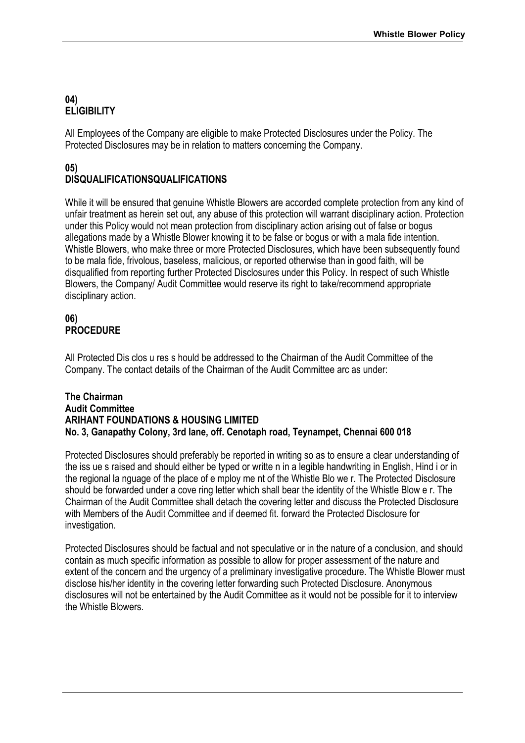### **04) ELIGIBILITY**

All Employees of the Company are eligible to make Protected Disclosures under the Policy. The Protected Disclosures may be in relation to matters concerning the Company.

## **05) DISQUALIFICATIONSQUALIFICATIONS**

While it will be ensured that genuine Whistle Blowers are accorded complete protection from any kind of unfair treatment as herein set out, any abuse of this protection will warrant disciplinary action. Protection under this Policy would not mean protection from disciplinary action arising out of false or bogus allegations made by a Whistle Blower knowing it to be false or bogus or with a mala fide intention. Whistle Blowers, who make three or more Protected Disclosures, which have been subsequently found to be mala fide, frivolous, baseless, malicious, or reported otherwise than in good faith, will be disqualified from reporting further Protected Disclosures under this Policy. In respect of such Whistle Blowers, the Company/ Audit Committee would reserve its right to take/recommend appropriate disciplinary action.

### **06) PROCEDURE**

All Protected Dis clos u res s hould be addressed to the Chairman of the Audit Committee of the Company. The contact details of the Chairman of the Audit Committee arc as under:

#### **The Chairman Audit Committee ARIHANT FOUNDATIONS & HOUSING LIMITED No. 3, Ganapathy Colony, 3rd lane, off. Cenotaph road, Teynampet, Chennai 600 018**

Protected Disclosures should preferably be reported in writing so as to ensure a clear understanding of the iss ue s raised and should either be typed or writte n in a legible handwriting in English, Hind i or in the regional la nguage of the place of e mploy me nt of the Whistle Blo we r. The Protected Disclosure should be forwarded under a cove ring letter which shall bear the identity of the Whistle Blow e r. The Chairman of the Audit Committee shall detach the covering letter and discuss the Protected Disclosure with Members of the Audit Committee and if deemed fit. forward the Protected Disclosure for investigation.

Protected Disclosures should be factual and not speculative or in the nature of a conclusion, and should contain as much specific information as possible to allow for proper assessment of the nature and extent of the concern and the urgency of a preliminary investigative procedure. The Whistle Blower must disclose his/her identity in the covering letter forwarding such Protected Disclosure. Anonymous disclosures will not be entertained by the Audit Committee as it would not be possible for it to interview the Whistle Blowers.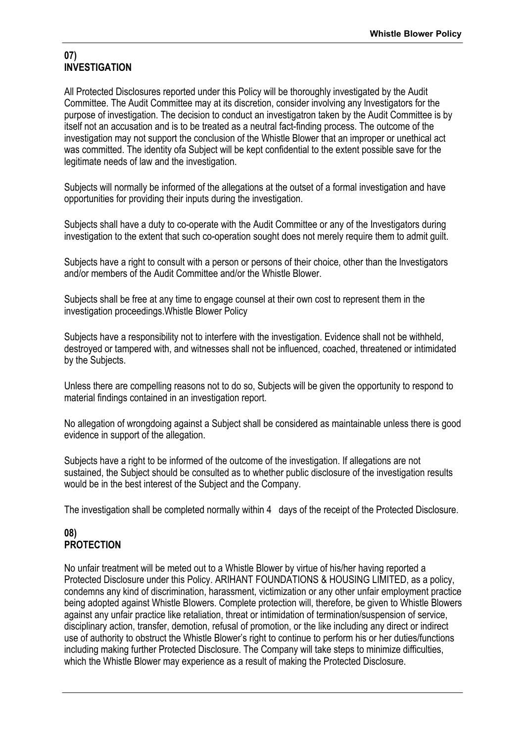#### **07) INVESTIGATION**

All Protected Disclosures reported under this Policy will be thoroughly investigated by the Audit Committee. The Audit Committee may at its discretion, consider involving any lnvestigators for the purpose of investigation. The decision to conduct an investigatron taken by the Audit Committee is by itself not an accusation and is to be treated as a neutral fact-finding process. The outcome of the investigation may not support the conclusion of the Whistle Blower that an improper or unethical act was committed. The identity ofa Subject will be kept confidential to the extent possible save for the legitimate needs of law and the investigation.

Subjects will normally be informed of the allegations at the outset of a formal investigation and have opportunities for providing their inputs during the investigation.

Subjects shall have a duty to co-operate with the Audit Committee or any of the Investigators during investigation to the extent that such co-operation sought does not merely require them to admit guilt.

Subjects have a right to consult with a person or persons of their choice, other than the lnvestigators and/or members of the Audit Committee and/or the Whistle Blower.

Subjects shall be free at any time to engage counsel at their own cost to represent them in the investigation proceedings.Whistle Blower Policy

Subjects have a responsibility not to interfere with the investigation. Evidence shall not be withheld, destroyed or tampered with, and witnesses shall not be influenced, coached, threatened or intimidated by the Subjects.

Unless there are compelling reasons not to do so, Subjects will be given the opportunity to respond to material findings contained in an investigation report.

No allegation of wrongdoing against a Subject shall be considered as maintainable unless there is good evidence in support of the allegation.

Subjects have a right to be informed of the outcome of the investigation. If allegations are not sustained, the Subject should be consulted as to whether public disclosure of the investigation results would be in the best interest of the Subject and the Company.

The investigation shall be completed normally within 4 days of the receipt of the Protected Disclosure.

## **08) PROTECTION**

No unfair treatment will be meted out to a Whistle Blower by virtue of his/her having reported a Protected Disclosure under this Policy. ARIHANT FOUNDATIONS & HOUSING LIMITED, as a policy, condemns any kind of discrimination, harassment, victimization or any other unfair employment practice being adopted against Whistle BIowers. Complete protection will, therefore, be given to Whistle Blowers against any unfair practice like retaliation, threat or intimidation of termination/suspension of service, disciplinary action, transfer, demotion, refusal of promotion, or the like including any direct or indirect use of authority to obstruct the Whistle Blower's right to continue to perform his or her duties/functions including making further Protected Disclosure. The Company will take steps to minimize difficulties, which the Whistle Blower may experience as a result of making the Protected Disclosure.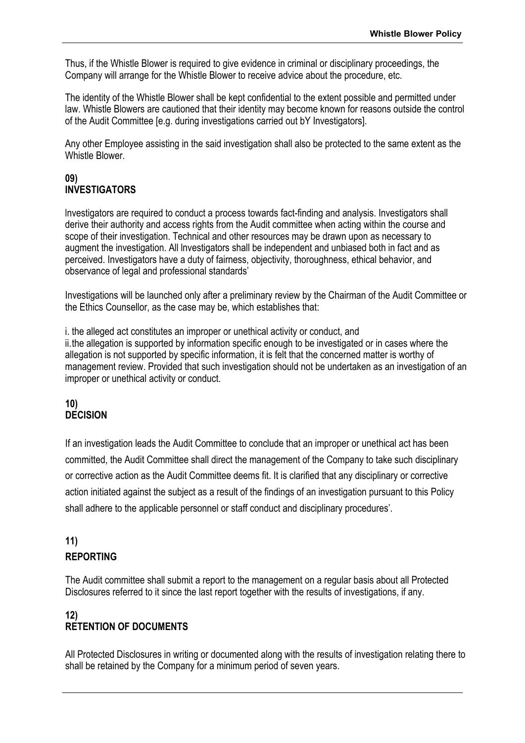Thus, if the Whistle Blower is required to give evidence in criminal or disciplinary proceedings, the Company will arrange for the Whistle Blower to receive advice about the procedure, etc.

The identity of the Whistle Blower shall be kept confidential to the extent possible and permitted under law. Whistle Blowers are cautioned that their identity may become known for reasons outside the control of the Audit Committee [e.g. during investigations carried out bY Investigators].

Any other Employee assisting in the said investigation shall also be protected to the same extent as the Whistle Blower.

#### **09) INVESTIGATORS**

lnvestigators are required to conduct a process towards fact-finding and analysis. Investigators shall derive their authority and access rights from the Audit committee when acting within the course and scope of their investigation. Technical and other resources may be drawn upon as necessary to augment the investigation. All lnvestigators shall be independent and unbiased both in fact and as perceived. Investigators have a duty of fairness, objectivity, thoroughness, ethical behavior, and observance of legal and professional standards'

Investigations will be launched only after a preliminary review by the Chairman of the Audit Committee or the Ethics Counsellor, as the case may be, which establishes that:

i. the alleged act constitutes an improper or unethical activity or conduct, and ii.the allegation is supported by information specific enough to be investigated or in cases where the allegation is not supported by specific information, it is felt that the concerned matter is worthy of management review. Provided that such investigation should not be undertaken as an investigation of an improper or unethical activity or conduct.

## **10) DECISION**

If an investigation leads the Audit Committee to conclude that an improper or unethical act has been committed, the Audit Committee shall direct the management of the Company to take such disciplinary or corrective action as the Audit Committee deems fit. It is clarified that any disciplinary or corrective action initiated against the subject as a result of the findings of an investigation pursuant to this Policy shall adhere to the applicable personnel or staff conduct and disciplinary procedures'.

# **11)**

## **REPORTING**

The Audit committee shall submit a report to the management on a regular basis about all Protected Disclosures referred to it since the last report together with the results of investigations, if any.

## **12) RETENTION OF DOCUMENTS**

All Protected Disclosures in writing or documented along with the results of investigation relating there to shall be retained by the Company for a minimum period of seven years.